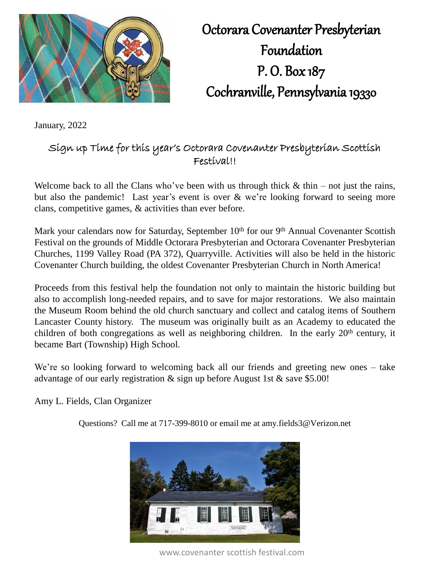

Octorara Covenanter Presbyterian Foundation P. O. Box 187 Cochranville, Pennsylvania 19330

January, 2022

## Sign up Time for this year's Octorara Covenanter Presbyterian Scottish Festival!!

Welcome back to all the Clans who've been with us through thick  $\&$  thin – not just the rains, but also the pandemic! Last year's event is over & we're looking forward to seeing more clans, competitive games, & activities than ever before.

Mark your calendars now for Saturday, September 10<sup>th</sup> for our 9<sup>th</sup> Annual Covenanter Scottish Festival on the grounds of Middle Octorara Presbyterian and Octorara Covenanter Presbyterian Churches, 1199 Valley Road (PA 372), Quarryville. Activities will also be held in the historic Covenanter Church building, the oldest Covenanter Presbyterian Church in North America!

Proceeds from this festival help the foundation not only to maintain the historic building but also to accomplish long-needed repairs, and to save for major restorations. We also maintain the Museum Room behind the old church sanctuary and collect and catalog items of Southern Lancaster County history. The museum was originally built as an Academy to educated the children of both congregations as well as neighboring children. In the early  $20<sup>th</sup>$  century, it became Bart (Township) High School.

We're so looking forward to welcoming back all our friends and greeting new ones – take advantage of our early registration & sign up before August 1st & save \$5.00!

Amy L. Fields, Clan Organizer

Questions? Call me at 717-399-8010 or email me at amy.fields3@Verizon.net



www.covenanter scottish festival.com